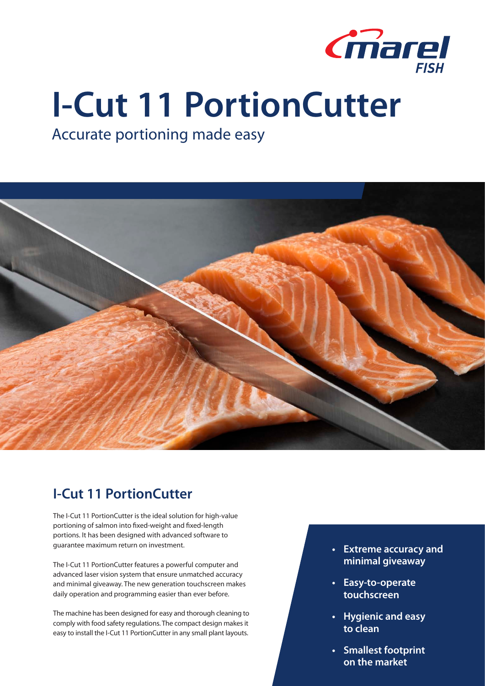

# **I-Cut 11 PortionCutter**

## Accurate portioning made easy



## **I-Cut 11 PortionCutter**

The I-Cut 11 PortionCutter is the ideal solution for high-value portioning of salmon into fixed-weight and fixed-length portions. It has been designed with advanced software to guarantee maximum return on investment.

The I-Cut 11 PortionCutter features a powerful computer and advanced laser vision system that ensure unmatched accuracy and minimal giveaway. The new generation touchscreen makes daily operation and programming easier than ever before.

The machine has been designed for easy and thorough cleaning to comply with food safety regulations. The compact design makes it easy to install the I-Cut 11 PortionCutter in any small plant layouts.

- **• Extreme accuracy and minimal giveaway**
- **• Easy-to-operate touchscreen**
- **• Hygienic and easy to clean**
- **• Smallest footprint on the market**